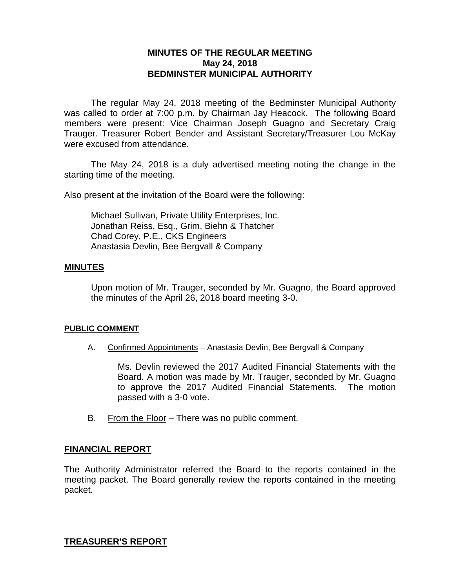## **MINUTES OF THE REGULAR MEETING May 24, 2018 BEDMINSTER MUNICIPAL AUTHORITY**

The regular May 24, 2018 meeting of the Bedminster Municipal Authority was called to order at 7:00 p.m. by Chairman Jay Heacock. The following Board members were present: Vice Chairman Joseph Guagno and Secretary Craig Trauger. Treasurer Robert Bender and Assistant Secretary/Treasurer Lou McKay were excused from attendance.

The May 24, 2018 is a duly advertised meeting noting the change in the starting time of the meeting.

Also present at the invitation of the Board were the following:

Michael Sullivan, Private Utility Enterprises, Inc. Jonathan Reiss, Esq., Grim, Biehn & Thatcher Chad Corey, P.E., CKS Engineers Anastasia Devlin, Bee Bergvall & Company

#### **MINUTES**

Upon motion of Mr. Trauger, seconded by Mr. Guagno, the Board approved the minutes of the April 26, 2018 board meeting 3-0.

#### **PUBLIC COMMENT**

A. Confirmed Appointments – Anastasia Devlin, Bee Bergvall & Company

Ms. Devlin reviewed the 2017 Audited Financial Statements with the Board. A motion was made by Mr. Trauger, seconded by Mr. Guagno to approve the 2017 Audited Financial Statements. The motion passed with a 3-0 vote.

B. From the Floor – There was no public comment.

#### **FINANCIAL REPORT**

The Authority Administrator referred the Board to the reports contained in the meeting packet. The Board generally review the reports contained in the meeting packet.

**TREASURER'S REPORT**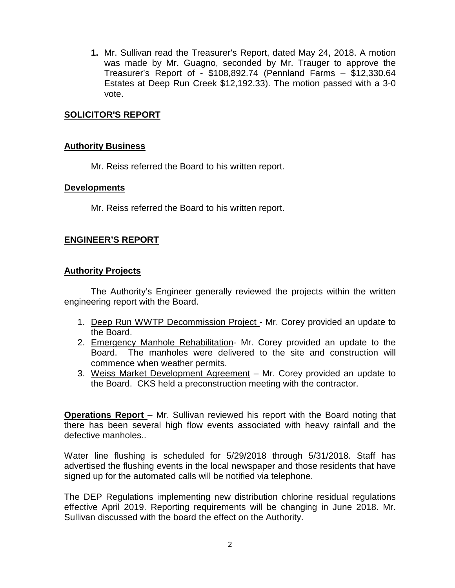**1.** Mr. Sullivan read the Treasurer's Report, dated May 24, 2018. A motion was made by Mr. Guagno, seconded by Mr. Trauger to approve the Treasurer's Report of - \$108,892.74 (Pennland Farms – \$12,330.64 Estates at Deep Run Creek \$12,192.33). The motion passed with a 3-0 vote.

## **SOLICITOR'S REPORT**

## **Authority Business**

Mr. Reiss referred the Board to his written report.

#### **Developments**

Mr. Reiss referred the Board to his written report.

## **ENGINEER'S REPORT**

## **Authority Projects**

The Authority's Engineer generally reviewed the projects within the written engineering report with the Board.

- 1. Deep Run WWTP Decommission Project Mr. Corey provided an update to the Board.
- 2. Emergency Manhole Rehabilitation- Mr. Corey provided an update to the Board. The manholes were delivered to the site and construction will commence when weather permits.
- 3. Weiss Market Development Agreement Mr. Corey provided an update to the Board. CKS held a preconstruction meeting with the contractor.

**Operations Report** – Mr. Sullivan reviewed his report with the Board noting that there has been several high flow events associated with heavy rainfall and the defective manholes..

Water line flushing is scheduled for 5/29/2018 through 5/31/2018. Staff has advertised the flushing events in the local newspaper and those residents that have signed up for the automated calls will be notified via telephone.

The DEP Regulations implementing new distribution chlorine residual regulations effective April 2019. Reporting requirements will be changing in June 2018. Mr. Sullivan discussed with the board the effect on the Authority.